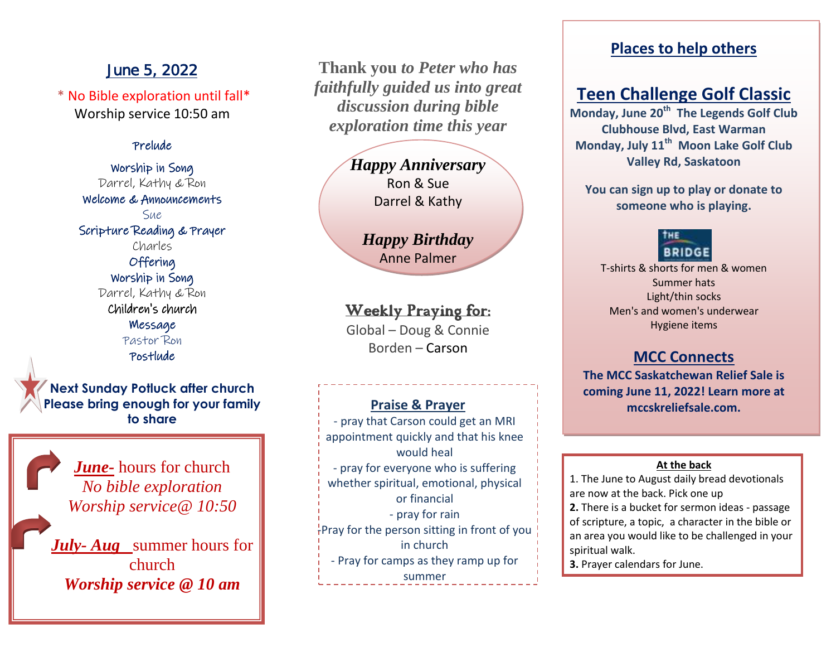# June 5, 2022

\* No Bible exploration until fall\* Worship service 10:50 am

### Prelude

Worship in Song Darrel, Kathy & Ron Welcome & Announcements Sue Scripture Reading & Prayer Charles Offering Worship in Song Darrel, Kathy & Ron Children's church Message Pastor Ron Postlude

**Next Sunday Potluck after church Please bring enough for your family to share** 

> *June-* hours for church *No bible exploration Worship service@ 10:50*

*July- Aug* summer hours for church *Worship service @ 10 am*

**Thank you** *to Peter who has faithfully guided us into great discussion during bible exploration time this year* 

> *Happy Anniversary* Ron & Sue Darrel & Kathy

*Happy Birthday* Anne Palmer

# Weekly Praying for:

Global – Doug & Connie Borden – Carson

# **Praise & Prayer**

- pray that Carson could get an MRI appointment quickly and that his knee would heal - pray for everyone who is suffering whether spiritual, emotional, physical or financial - pray for rain  $T<sub>r</sub>$ Pray for the person sitting in front of you in church - Pray for camps as they ramp up for summer

# **Places to help others**

# **Teen Challenge Golf Classic**

**Monday, June 20th The Legends Golf Club Clubhouse Blvd, East Warman Monday, July 11th Moon Lake Golf Club Valley Rd, Saskatoon**

**You can sign up to play or donate to someone who is playing.**

# **BRIDGE**

T-shirts & shorts for men & women Summer hats Light/thin socks Men's and women's underwear Hygiene items

# **MCC Connects**

**The MCC Saskatchewan Relief Sale is coming June 11, 2022! Learn more at mccskreliefsale.com.**

#### **At the back**

1. The June to August daily bread devotionals are now at the back. Pick one up

**2.** There is a bucket for sermon ideas - passage of scripture, a topic, a character in the bible or an area you would like to be challenged in your spiritual walk.

**3.** Prayer calendars for June.